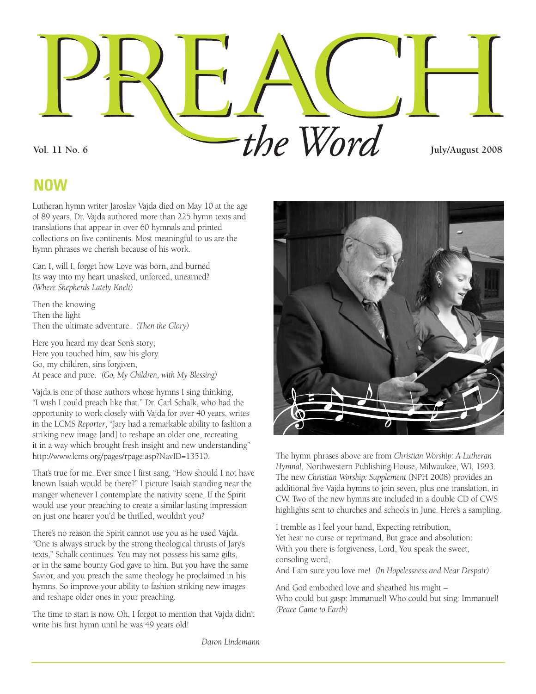

**NOW**

Lutheran hymn writer Jaroslav Vajda died on May 10 at the age of 89 years. Dr. Vajda authored more than 225 hymn texts and translations that appear in over 60 hymnals and printed collections on five continents. Most meaningful to us are the hymn phrases we cherish because of his work.

Can I, will I, forget how Love was born, and burned Its way into my heart unasked, unforced, unearned? *(Where Shepherds Lately Knelt)*

Then the knowing Then the light Then the ultimate adventure. *(Then the Glory)*

Here you heard my dear Son's story; Here you touched him, saw his glory. Go, my children, sins forgiven, At peace and pure. *(Go, My Children, with My Blessing)*

Vajda is one of those authors whose hymns I sing thinking, "I wish I could preach like that." Dr. Carl Schalk, who had the opportunity to work closely with Vajda for over 40 years, writes in the LCMS *Reporter*, "Jary had a remarkable ability to fashion a striking new image [and] to reshape an older one, recreating it in a way which brought fresh insight and new understanding" http://www.lcms.org/pages/rpage.asp?NavID=13510.

That's true for me. Ever since I first sang, "How should I not have known Isaiah would be there?" I picture Isaiah standing near the manger whenever I contemplate the nativity scene. If the Spirit would use your preaching to create a similar lasting impression on just one hearer you'd be thrilled, wouldn't you?

There's no reason the Spirit cannot use you as he used Vajda. "One is always struck by the strong theological thrusts of Jary's texts," Schalk continues. You may not possess his same gifts, or in the same bounty God gave to him. But you have the same Savior, and you preach the same theology he proclaimed in his hymns. So improve your ability to fashion striking new images and reshape older ones in your preaching.

The time to start is now. Oh, I forgot to mention that Vajda didn't write his first hymn until he was 49 years old!



The hymn phrases above are from *Christian Worship: A Lutheran Hymnal*, Northwestern Publishing House, Milwaukee, WI, 1993. The new *Christian Worship: Supplement* (NPH 2008) provides an additional five Vajda hymns to join seven, plus one translation, in CW. Two of the new hymns are included in a double CD of CWS highlights sent to churches and schools in June. Here's a sampling.

I tremble as I feel your hand, Expecting retribution, Yet hear no curse or reprimand, But grace and absolution: With you there is forgiveness, Lord, You speak the sweet, consoling word,

And I am sure you love me! *(In Hopelessness and Near Despair)*

And God embodied love and sheathed his might – Who could but gasp: Immanuel! Who could but sing: Immanuel! *(Peace Came to Earth)*

*Daron Lindemann*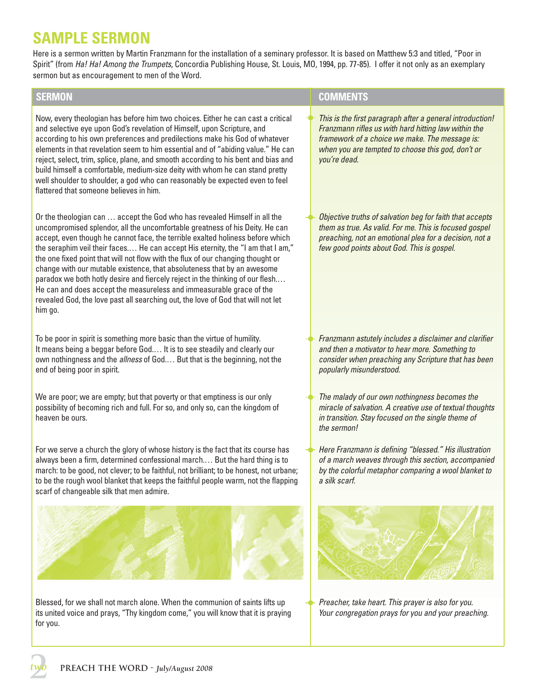# **SAMPLE SERMON**

Here is a sermon written by Martin Franzmann for the installation of a seminary professor. It is based on Matthew 5:3 and titled, "Poor in Spirit" (from Ha! Ha! Among the Trumpets, Concordia Publishing House, St. Louis, MO, 1994, pp. 77-85). I offer it not only as an exemplary sermon but as encouragement to men of the Word.

| <b>SERMON</b>                                                                                                                                                                                                                                                                                                                                                                                                                                                                                                                                                                                                                                                                                                                                        | <b>COMMENTS</b>                                                                                                                                                                                                                          |
|------------------------------------------------------------------------------------------------------------------------------------------------------------------------------------------------------------------------------------------------------------------------------------------------------------------------------------------------------------------------------------------------------------------------------------------------------------------------------------------------------------------------------------------------------------------------------------------------------------------------------------------------------------------------------------------------------------------------------------------------------|------------------------------------------------------------------------------------------------------------------------------------------------------------------------------------------------------------------------------------------|
| Now, every theologian has before him two choices. Either he can cast a critical<br>and selective eye upon God's revelation of Himself, upon Scripture, and<br>according to his own preferences and predilections make his God of whatever<br>elements in that revelation seem to him essential and of "abiding value." He can<br>reject, select, trim, splice, plane, and smooth according to his bent and bias and<br>build himself a comfortable, medium-size deity with whom he can stand pretty<br>well shoulder to shoulder, a god who can reasonably be expected even to feel<br>flattered that someone believes in him.                                                                                                                       | This is the first paragraph after a general introduction!<br>Franzmann rifles us with hard hitting law within the<br>framework of a choice we make. The message is:<br>when you are tempted to choose this god, don't or<br>you're dead. |
| Or the theologian can  accept the God who has revealed Himself in all the<br>uncompromised splendor, all the uncomfortable greatness of his Deity. He can<br>accept, even though he cannot face, the terrible exalted holiness before which<br>the seraphim veil their faces He can accept His eternity, the "I am that I am,"<br>the one fixed point that will not flow with the flux of our changing thought or<br>change with our mutable existence, that absoluteness that by an awesome<br>paradox we both hotly desire and fiercely reject in the thinking of our flesh<br>He can and does accept the measureless and immeasurable grace of the<br>revealed God, the love past all searching out, the love of God that will not let<br>him go. | Objective truths of salvation beg for faith that accepts<br>them as true. As valid. For me. This is focused gospel<br>preaching, not an emotional plea for a decision, not a<br>few good points about God. This is gospel.               |
| To be poor in spirit is something more basic than the virtue of humility.<br>It means being a beggar before God It is to see steadily and clearly our<br>own nothingness and the allness of God But that is the beginning, not the<br>end of being poor in spirit.                                                                                                                                                                                                                                                                                                                                                                                                                                                                                   | Franzmann astutely includes a disclaimer and clarifier<br>and then a motivator to hear more. Something to<br>consider when preaching any Scripture that has been<br>popularly misunderstood.                                             |
| We are poor; we are empty; but that poverty or that emptiness is our only<br>possibility of becoming rich and full. For so, and only so, can the kingdom of<br>heaven be ours.                                                                                                                                                                                                                                                                                                                                                                                                                                                                                                                                                                       | The malady of our own nothingness becomes the<br>miracle of salvation. A creative use of textual thoughts<br>in transition. Stay focused on the single theme of<br>the sermon!                                                           |
| For we serve a church the glory of whose history is the fact that its course has<br>always been a firm, determined confessional march But the hard thing is to<br>march: to be good, not clever; to be faithful, not brilliant; to be honest, not urbane;<br>to be the rough wool blanket that keeps the faithful people warm, not the flapping<br>scarf of changeable silk that men admire.                                                                                                                                                                                                                                                                                                                                                         | Here Franzmann is defining "blessed." His illustration<br>of a march weaves through this section, accompanied<br>by the colorful metaphor comparing a wool blanket to<br>a sılk scart.                                                   |
|                                                                                                                                                                                                                                                                                                                                                                                                                                                                                                                                                                                                                                                                                                                                                      |                                                                                                                                                                                                                                          |
| Blessed, for we shall not march alone. When the communion of saints lifts up<br>its united voice and prays, "Thy kingdom come," you will know that it is praying                                                                                                                                                                                                                                                                                                                                                                                                                                                                                                                                                                                     | Preacher, take heart. This prayer is also for you.<br>Your congregation prays for you and your preaching.                                                                                                                                |

for you.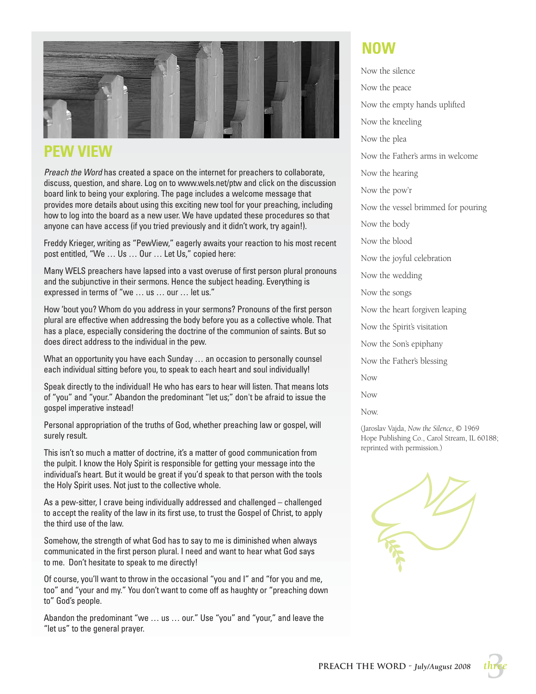

#### **PEW VIEW**

Preach the Word has created a space on the internet for preachers to collaborate, discuss, question, and share. Log on to www.wels.net/ptw and click on the discussion board link to being your exploring. The page includes a welcome message that provides more details about using this exciting new tool for your preaching, including how to log into the board as a new user. We have updated these procedures so that anyone can have access (if you tried previously and it didn't work, try again!).

Freddy Krieger, writing as "PewView," eagerly awaits your reaction to his most recent post entitled, "We … Us … Our … Let Us," copied here:

Many WELS preachers have lapsed into a vast overuse of first person plural pronouns and the subjunctive in their sermons. Hence the subject heading. Everything is expressed in terms of "we … us … our … let us."

How 'bout you? Whom do you address in your sermons? Pronouns of the first person plural are effective when addressing the body before you as a collective whole. That has a place, especially considering the doctrine of the communion of saints. But so does direct address to the individual in the pew.

What an opportunity you have each Sunday … an occasion to personally counsel each individual sitting before you, to speak to each heart and soul individually!

Speak directly to the individual! He who has ears to hear will listen. That means lots of "you" and "your." Abandon the predominant "let us;" don't be afraid to issue the gospel imperative instead!

Personal appropriation of the truths of God, whether preaching law or gospel, will surely result.

This isn't so much a matter of doctrine, it's a matter of good communication from the pulpit. I know the Holy Spirit is responsible for getting your message into the individual's heart. But it would be great if you'd speak to that person with the tools the Holy Spirit uses. Not just to the collective whole.

As a pew-sitter, I crave being individually addressed and challenged – challenged to accept the reality of the law in its first use, to trust the Gospel of Christ, to apply the third use of the law.

Somehow, the strength of what God has to say to me is diminished when always communicated in the first person plural. I need and want to hear what God says to me. Don't hesitate to speak to me directly!

Of course, you'll want to throw in the occasional "you and I" and "for you and me, too" and "your and my." You don't want to come off as haughty or "preaching down to" God's people.

Abandon the predominant "we … us … our." Use "you" and "your," and leave the "let us" to the general prayer.

## **NOW**

Now the silence Now the peace Now the empty hands uplifted Now the kneeling Now the plea Now the Father's arms in welcome Now the hearing Now the pow'r Now the vessel brimmed for pouring Now the body Now the blood Now the joyful celebration Now the wedding Now the songs Now the heart forgiven leaping Now the Spirit's visitation Now the Son's epiphany Now the Father's blessing Now Now Now.

(Jaroslav Vajda, *Now the Silence*, © 1969 Hope Publishing Co., Carol Stream, IL 60188; reprinted with permission.)